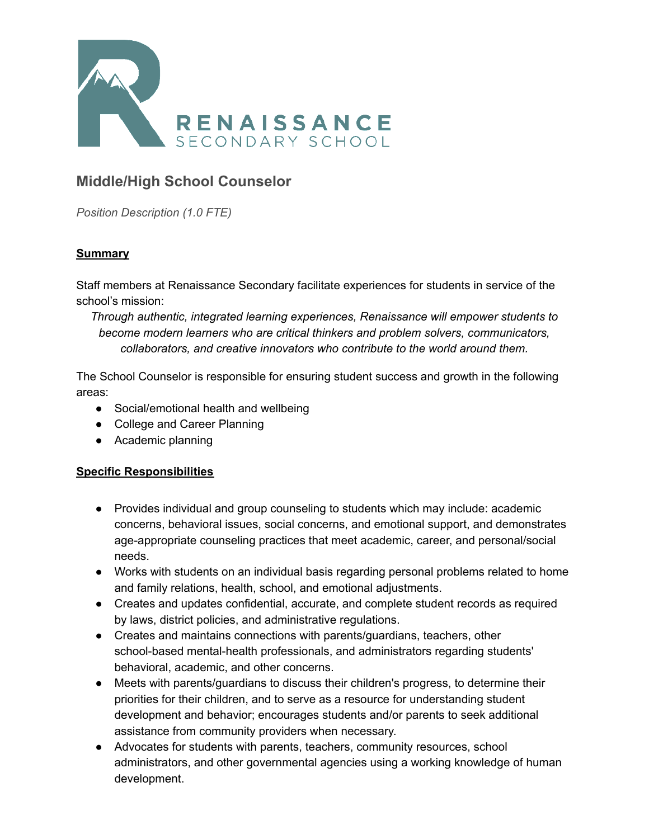

# **Middle/High School Counselor**

*Position Description (1.0 FTE)*

### **Summary**

Staff members at Renaissance Secondary facilitate experiences for students in service of the school's mission:

*Through authentic, integrated learning experiences, Renaissance will empower students to become modern learners who are critical thinkers and problem solvers, communicators, collaborators, and creative innovators who contribute to the world around them.*

The School Counselor is responsible for ensuring student success and growth in the following areas:

- Social/emotional health and wellbeing
- College and Career Planning
- Academic planning

#### **Specific Responsibilities**

- Provides individual and group counseling to students which may include: academic concerns, behavioral issues, social concerns, and emotional support, and demonstrates age-appropriate counseling practices that meet academic, career, and personal/social needs.
- Works with students on an individual basis regarding personal problems related to home and family relations, health, school, and emotional adjustments.
- Creates and updates confidential, accurate, and complete student records as required by laws, district policies, and administrative regulations.
- Creates and maintains connections with parents/guardians, teachers, other school-based mental-health professionals, and administrators regarding students' behavioral, academic, and other concerns.
- Meets with parents/guardians to discuss their children's progress, to determine their priorities for their children, and to serve as a resource for understanding student development and behavior; encourages students and/or parents to seek additional assistance from community providers when necessary.
- Advocates for students with parents, teachers, community resources, school administrators, and other governmental agencies using a working knowledge of human development.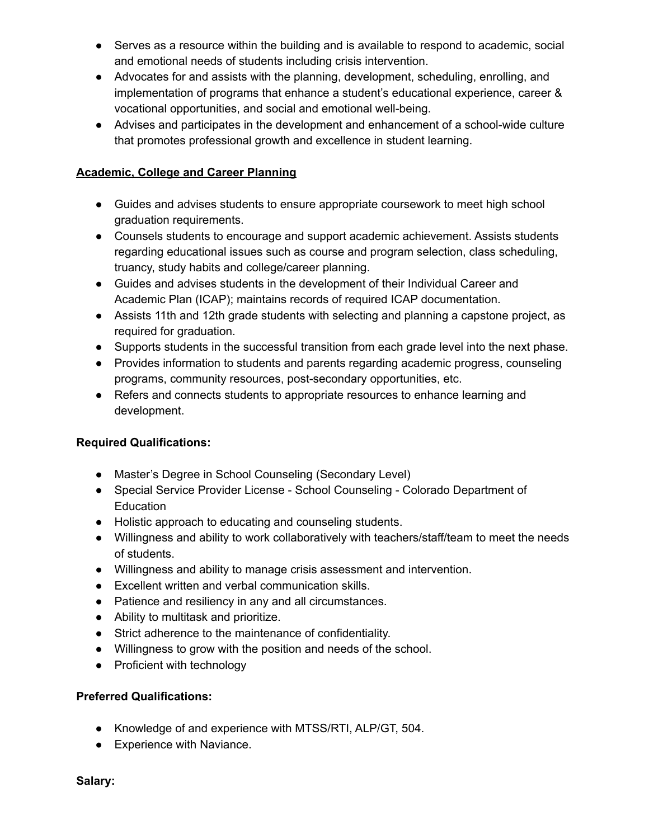- Serves as a resource within the building and is available to respond to academic, social and emotional needs of students including crisis intervention.
- Advocates for and assists with the planning, development, scheduling, enrolling, and implementation of programs that enhance a student's educational experience, career & vocational opportunities, and social and emotional well-being.
- Advises and participates in the development and enhancement of a school-wide culture that promotes professional growth and excellence in student learning.

#### **Academic, College and Career Planning**

- Guides and advises students to ensure appropriate coursework to meet high school graduation requirements.
- Counsels students to encourage and support academic achievement. Assists students regarding educational issues such as course and program selection, class scheduling, truancy, study habits and college/career planning.
- Guides and advises students in the development of their Individual Career and Academic Plan (ICAP); maintains records of required ICAP documentation.
- Assists 11th and 12th grade students with selecting and planning a capstone project, as required for graduation.
- Supports students in the successful transition from each grade level into the next phase.
- Provides information to students and parents regarding academic progress, counseling programs, community resources, post-secondary opportunities, etc.
- Refers and connects students to appropriate resources to enhance learning and development.

#### **Required Qualifications:**

- Master's Degree in School Counseling (Secondary Level)
- Special Service Provider License School Counseling Colorado Department of **Education**
- Holistic approach to educating and counseling students.
- Willingness and ability to work collaboratively with teachers/staff/team to meet the needs of students.
- Willingness and ability to manage crisis assessment and intervention.
- Excellent written and verbal communication skills.
- Patience and resiliency in any and all circumstances.
- Ability to multitask and prioritize.
- Strict adherence to the maintenance of confidentiality.
- Willingness to grow with the position and needs of the school.
- Proficient with technology

#### **Preferred Qualifications:**

- Knowledge of and experience with MTSS/RTI, ALP/GT, 504.
- Experience with Naviance.